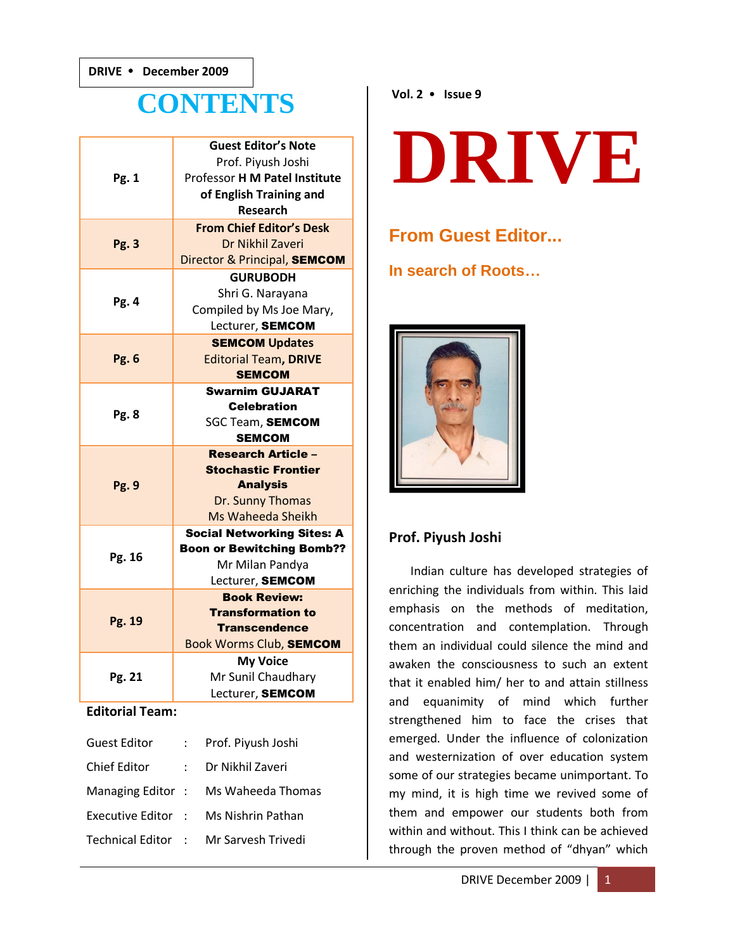## **CONTENTS**

|                        | <b>Guest Editor's Note</b>           |  |
|------------------------|--------------------------------------|--|
|                        |                                      |  |
|                        | Prof. Piyush Joshi                   |  |
| Pg. 1                  | Professor <b>H M Patel Institute</b> |  |
|                        | of English Training and              |  |
|                        | Research                             |  |
|                        | <b>From Chief Editor's Desk</b>      |  |
| <b>Pg. 3</b>           | Dr Nikhil Zaveri                     |  |
|                        | Director & Principal, SEMCOM         |  |
|                        | <b>GURUBODH</b>                      |  |
|                        | Shri G. Narayana                     |  |
| Pg. 4                  | Compiled by Ms Joe Mary,             |  |
|                        | Lecturer, SEMCOM                     |  |
|                        | <b>SEMCOM Updates</b>                |  |
| Pg. 6                  | <b>Editorial Team, DRIVE</b>         |  |
|                        | <b>SEMCOM</b>                        |  |
|                        | <b>Swarnim GUJARAT</b>               |  |
|                        | <b>Celebration</b>                   |  |
| <b>Pg. 8</b>           | <b>SGC Team, SEMCOM</b>              |  |
|                        | <b>SEMCOM</b>                        |  |
|                        | <b>Research Article -</b>            |  |
| <b>Pg. 9</b>           | <b>Stochastic Frontier</b>           |  |
|                        | <b>Analysis</b>                      |  |
|                        | Dr. Sunny Thomas                     |  |
|                        | Ms Waheeda Sheikh                    |  |
|                        | <b>Social Networking Sites: A</b>    |  |
| Pg. 16                 | <b>Boon or Bewitching Bomb??</b>     |  |
|                        |                                      |  |
|                        | Mr Milan Pandya                      |  |
|                        | Lecturer, SEMCOM                     |  |
|                        | <b>Book Review:</b>                  |  |
|                        | <b>Transformation to</b>             |  |
| Pg. 19                 | <b>Transcendence</b>                 |  |
|                        | Book Worms Club, SEMCOM              |  |
|                        | <b>My Voice</b>                      |  |
| Pg. 21                 | Mr Sunil Chaudhary                   |  |
|                        |                                      |  |
|                        | Lecturer, SEMCOM                     |  |
| <b>Editorial Team:</b> |                                      |  |

## Guest Editor : Prof. Piyush Joshi Chief Editor : Dr Nikhil Zaveri Managing Editor : Ms Waheeda Thomas Executive Editor : Ms Nishrin Pathan Technical Editor : Mr Sarvesh Trivedi

# **DRIVE**

## **From Guest Editor...**

**In search of Roots…**



## **Prof. Piyush Joshi**

Indian culture has developed strategies of enriching the individuals from within. This laid emphasis on the methods of meditation, concentration and contemplation. Through them an individual could silence the mind and awaken the consciousness to such an extent that it enabled him/ her to and attain stillness and equanimity of mind which further strengthened him to face the crises that emerged. Under the influence of colonization and westernization of over education system some of our strategies became unimportant. To my mind, it is high time we revived some of them and empower our students both from within and without. This I think can be achieved through the proven method of "dhyan" which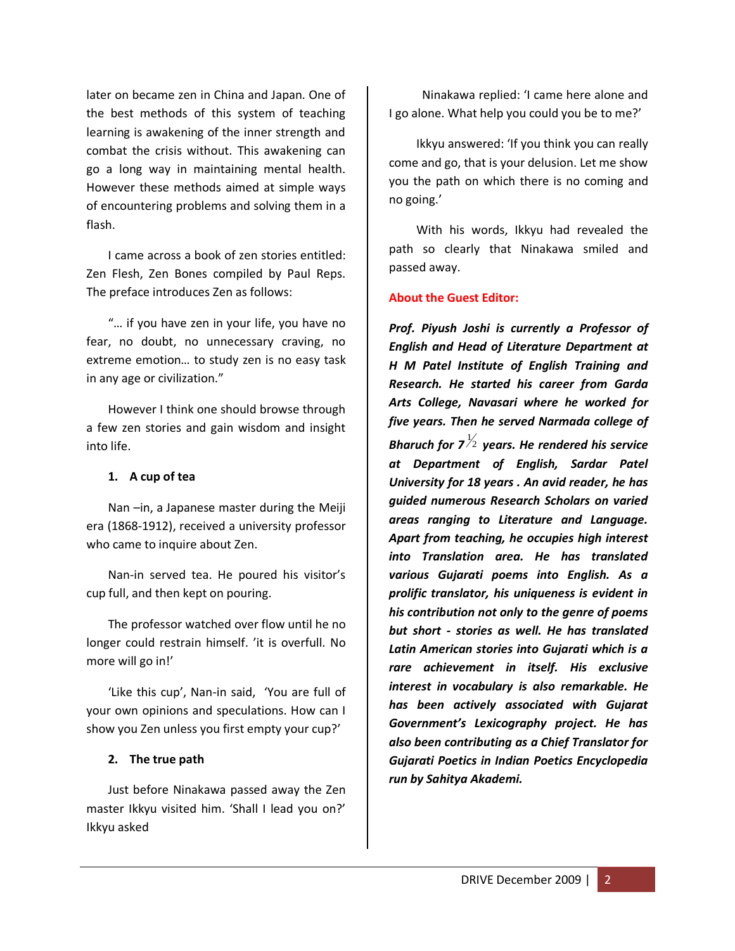later on became zen in China and Japan. One of the best methods of this system of teaching learning is awakening of the inner strength and combat the crisis without. This awakening can go a long way in maintaining mental health. However these methods aimed at simple ways of encountering problems and solving them in a flash.

I came across a book of zen stories entitled: Zen Flesh, Zen Bones compiled by Paul Reps. The preface introduces Zen as follows:

"… if you have zen in your life, you have no fear, no doubt, no unnecessary craving, no extreme emotion… to study zen is no easy task in any age or civilization."

However I think one should browse through a few zen stories and gain wisdom and insight into life.

#### **1. A cup of tea**

Nan -in, a Japanese master during the Meiji era (1868-1912), received a university professor who came to inquire about Zen.

Nan-in served tea. He poured his visitor's cup full, and then kept on pouring.

The professor watched over flow until he no longer could restrain himself. 'it is overfull. No more will go in!'

'Like this cup', Nan-in said, 'You are full of your own opinions and speculations. How can I show you Zen unless you first empty your cup?'

#### **2. The true path**

Just before Ninakawa passed away the Zen master Ikkyu visited him. 'Shall I lead you on?' Ikkyu asked

 Ninakawa replied: 'I came here alone and I go alone. What help you could you be to me?'

 Ikkyu answered: 'If you think you can really come and go, that is your delusion. Let me show you the path on which there is no coming and no going.'

 With his words, Ikkyu had revealed the path so clearly that Ninakawa smiled and passed away.

#### **About the Guest Editor:**

*Prof. Piyush Joshi is currently a Professor of English and Head of Literature Department at H M Patel Institute of English Training and Research. He started his career from Garda Arts College, Navasari where he worked for five years. Then he served Narmada college of*  Bharuch for 7 $^{\not>}/_2$  years. He rendered his service *at Department of English, Sardar Patel University for 18 years . An avid reader, he has guided numerous Research Scholars on varied areas ranging to Literature and Language. Apart from teaching, he occupies high interest into Translation area. He has translated various Gujarati poems into English. As a prolific translator, his uniqueness is evident in his contribution not only to the genre of poems but short - stories as well. He has translated Latin American stories into Gujarati which is a rare achievement in itself. His exclusive interest in vocabulary is also remarkable. He has been actively associated with Gujarat Government's Lexicography project. He has also been contributing as a Chief Translator for Gujarati Poetics in Indian Poetics Encyclopedia run by Sahitya Akademi.*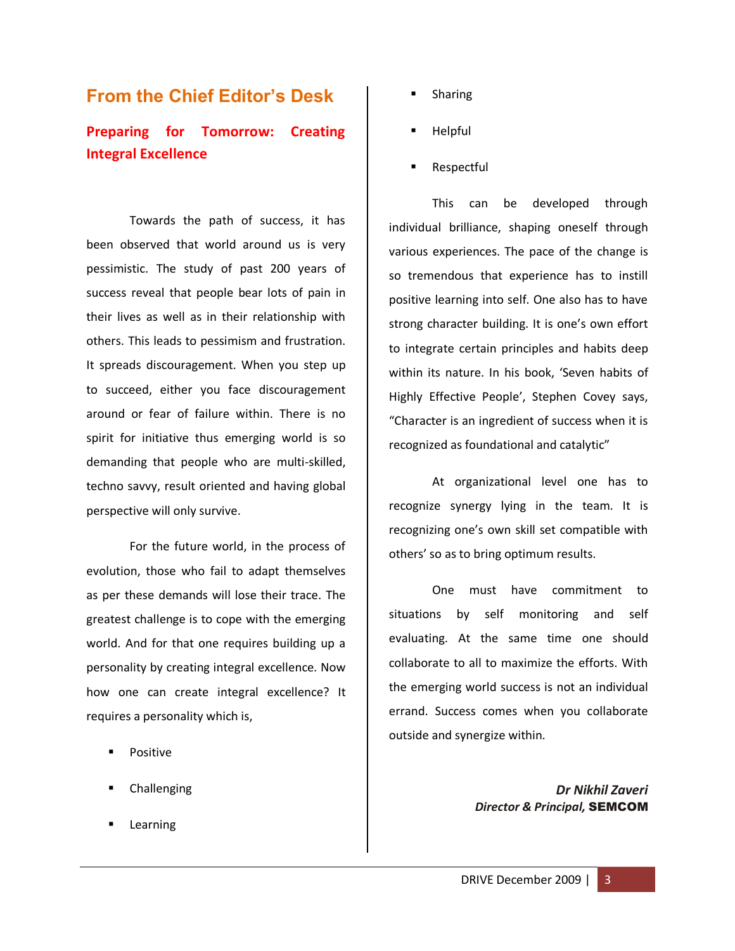## **From the Chief Editor's Desk**

## **Preparing for Tomorrow: Creating Integral Excellence**

Towards the path of success, it has been observed that world around us is very pessimistic. The study of past 200 years of success reveal that people bear lots of pain in their lives as well as in their relationship with others. This leads to pessimism and frustration. It spreads discouragement. When you step up to succeed, either you face discouragement around or fear of failure within. There is no spirit for initiative thus emerging world is so demanding that people who are multi-skilled, techno savvy, result oriented and having global perspective will only survive.

For the future world, in the process of evolution, those who fail to adapt themselves as per these demands will lose their trace. The greatest challenge is to cope with the emerging world. And for that one requires building up a personality by creating integral excellence. Now how one can create integral excellence? It requires a personality which is,

- Positive
- Challenging
- Learning
- Sharing
- Helpful
- Respectful

This can be developed through individual brilliance, shaping oneself through various experiences. The pace of the change is so tremendous that experience has to instill positive learning into self. One also has to have strong character building. It is one's own effort to integrate certain principles and habits deep within its nature. In his book, 'Seven habits of Highly Effective People', Stephen Covey says, "Character is an ingredient of success when it is recognized as foundational and catalytic"

At organizational level one has to recognize synergy lying in the team. It is recognizing one's own skill set compatible with others' so as to bring optimum results.

One must have commitment to situations by self monitoring and self evaluating. At the same time one should collaborate to all to maximize the efforts. With the emerging world success is not an individual errand. Success comes when you collaborate outside and synergize within.

> *Dr Nikhil Zaveri Director & Principal,* SEMCOM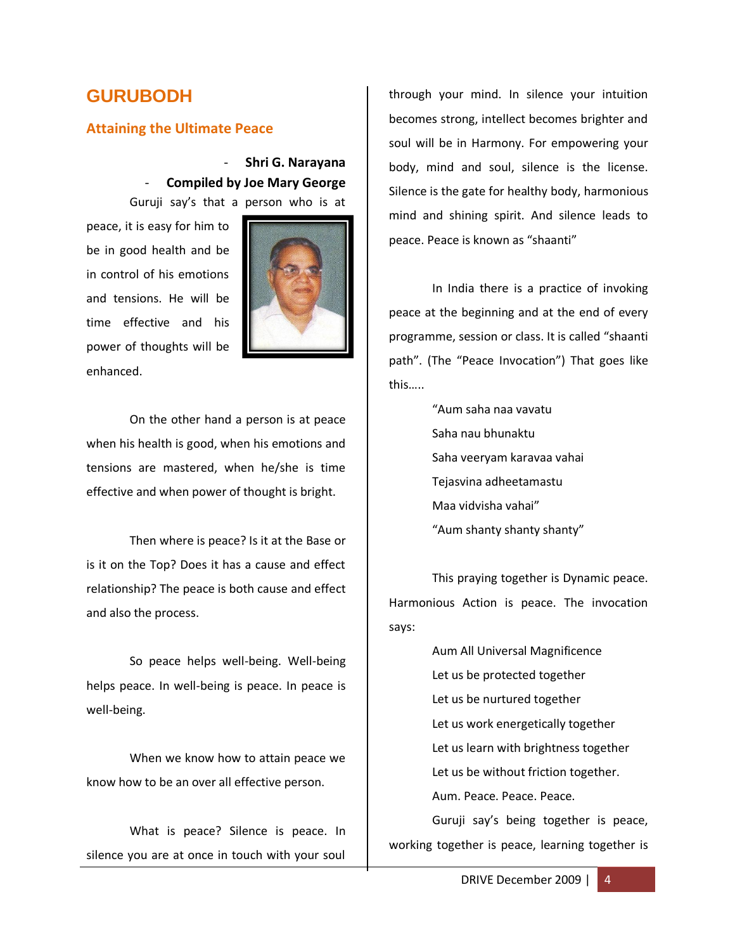## **GURUBODH**

#### **Attaining the Ultimate Peace**

#### - **Shri G. Narayana** - **Compiled by Joe Mary George** Guruji say's that a person who is at

peace, it is easy for him to be in good health and be in control of his emotions and tensions. He will be time effective and his power of thoughts will be enhanced.



On the other hand a person is at peace when his health is good, when his emotions and tensions are mastered, when he/she is time effective and when power of thought is bright.

Then where is peace? Is it at the Base or is it on the Top? Does it has a cause and effect relationship? The peace is both cause and effect and also the process.

So peace helps well-being. Well-being helps peace. In well-being is peace. In peace is well-being.

When we know how to attain peace we know how to be an over all effective person.

What is peace? Silence is peace. In silence you are at once in touch with your soul

through your mind. In silence your intuition becomes strong, intellect becomes brighter and soul will be in Harmony. For empowering your body, mind and soul, silence is the license. Silence is the gate for healthy body, harmonious mind and shining spirit. And silence leads to peace. Peace is known as "shaanti"

In India there is a practice of invoking peace at the beginning and at the end of every programme, session or class. It is called "shaanti path". (The "Peace Invocation") That goes like this…..

> "Aum saha naa vavatu Saha nau bhunaktu Saha veeryam karavaa vahai Tejasvina adheetamastu Maa vidvisha vahai" "Aum shanty shanty shanty"

This praying together is Dynamic peace. Harmonious Action is peace. The invocation says:

Aum All Universal Magnificence Let us be protected together Let us be nurtured together Let us work energetically together Let us learn with brightness together Let us be without friction together. Aum. Peace. Peace. Peace. Guruji say's being together is peace,

working together is peace, learning together is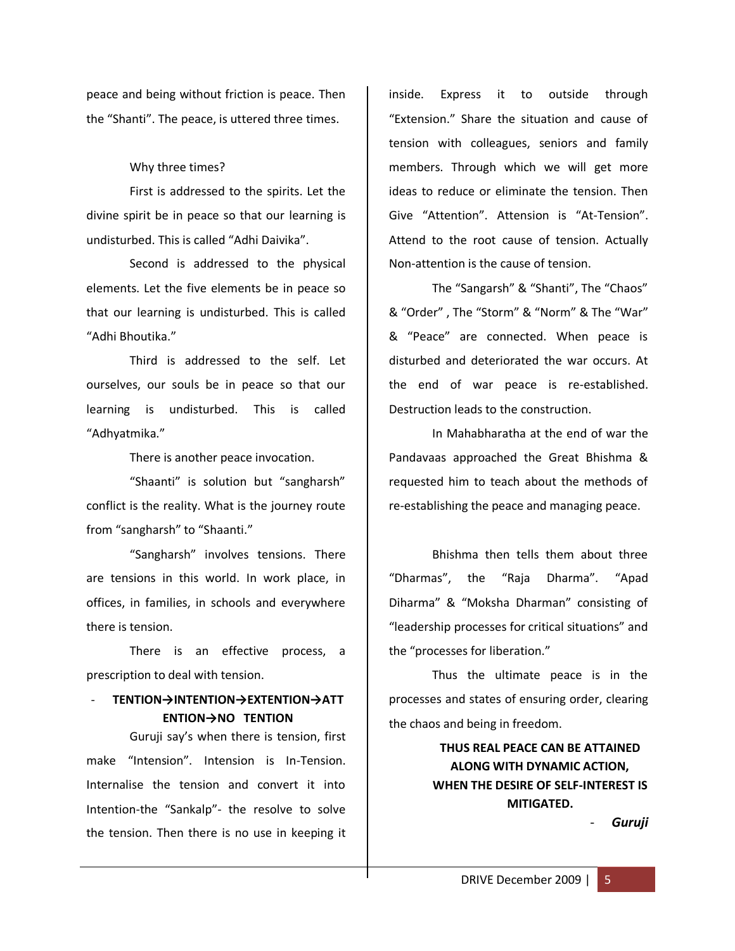peace and being without friction is peace. Then the "Shanti". The peace, is uttered three times.

#### Why three times?

First is addressed to the spirits. Let the divine spirit be in peace so that our learning is undisturbed. This is called "Adhi Daivika".

Second is addressed to the physical elements. Let the five elements be in peace so that our learning is undisturbed. This is called "Adhi Bhoutika."

Third is addressed to the self. Let ourselves, our souls be in peace so that our learning is undisturbed. This is called "Adhyatmika."

There is another peace invocation.

"Shaanti" is solution but "sangharsh" conflict is the reality. What is the journey route from "sangharsh" to "Shaanti."

"Sangharsh" involves tensions. There are tensions in this world. In work place, in offices, in families, in schools and everywhere there is tension.

There is an effective process, a prescription to deal with tension.

#### - **TENTION→INTENTION→EXTENTION→ATT ENTION→NO TENTION**

Guruji say's when there is tension, first make "Intension". Intension is In-Tension. Internalise the tension and convert it into Intention-the "Sankalp"- the resolve to solve the tension. Then there is no use in keeping it

inside. Express it to outside through "Extension." Share the situation and cause of tension with colleagues, seniors and family members. Through which we will get more ideas to reduce or eliminate the tension. Then Give "Attention". Attension is "At-Tension". Attend to the root cause of tension. Actually Non-attention is the cause of tension.

The "Sangarsh" & "Shanti", The "Chaos" & "Order" , The "Storm" & "Norm" & The "War" & "Peace" are connected. When peace is disturbed and deteriorated the war occurs. At the end of war peace is re-established. Destruction leads to the construction.

In Mahabharatha at the end of war the Pandavaas approached the Great Bhishma & requested him to teach about the methods of re-establishing the peace and managing peace.

Bhishma then tells them about three "Dharmas", the "Raja Dharma". "Apad Diharma" & "Moksha Dharman" consisting of "leadership processes for critical situations" and the "processes for liberation."

Thus the ultimate peace is in the processes and states of ensuring order, clearing the chaos and being in freedom.

> **THUS REAL PEACE CAN BE ATTAINED ALONG WITH DYNAMIC ACTION, WHEN THE DESIRE OF SELF-INTEREST IS MITIGATED.**

> > - *Guruji*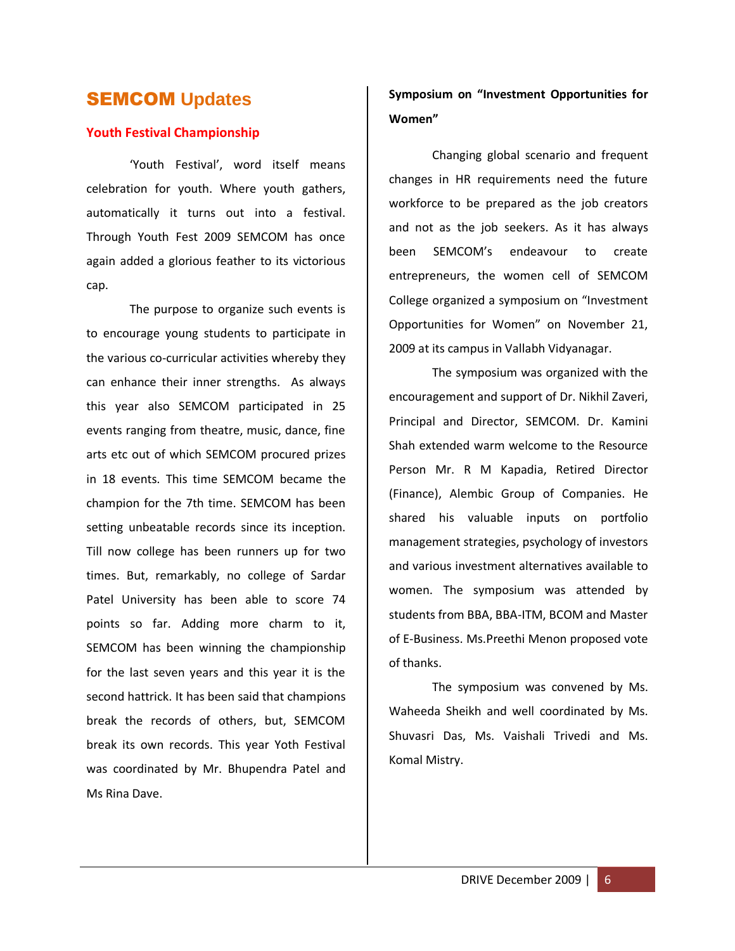## SEMCOM **Updates**

#### **Youth Festival Championship**

'Youth Festival', word itself means celebration for youth. Where youth gathers, automatically it turns out into a festival. Through Youth Fest 2009 SEMCOM has once again added a glorious feather to its victorious cap.

The purpose to organize such events is to encourage young students to participate in the various co-curricular activities whereby they can enhance their inner strengths. As always this year also SEMCOM participated in 25 events ranging from theatre, music, dance, fine arts etc out of which SEMCOM procured prizes in 18 events. This time SEMCOM became the champion for the 7th time. SEMCOM has been setting unbeatable records since its inception. Till now college has been runners up for two times. But, remarkably, no college of Sardar Patel University has been able to score 74 points so far. Adding more charm to it, SEMCOM has been winning the championship for the last seven years and this year it is the second hattrick. It has been said that champions break the records of others, but, SEMCOM break its own records. This year Yoth Festival was coordinated by Mr. Bhupendra Patel and Ms Rina Dave.

## **Symposium on "Investment Opportunities for Women"**

Changing global scenario and frequent changes in HR requirements need the future workforce to be prepared as the job creators and not as the job seekers. As it has always been SEMCOM's endeavour to create entrepreneurs, the women cell of SEMCOM College organized a symposium on "Investment Opportunities for Women" on November 21, 2009 at its campus in Vallabh Vidyanagar.

The symposium was organized with the encouragement and support of Dr. Nikhil Zaveri, Principal and Director, SEMCOM. Dr. Kamini Shah extended warm welcome to the Resource Person Mr. R M Kapadia, Retired Director (Finance), Alembic Group of Companies. He shared his valuable inputs on portfolio management strategies, psychology of investors and various investment alternatives available to women. The symposium was attended by students from BBA, BBA-ITM, BCOM and Master of E-Business. Ms.Preethi Menon proposed vote of thanks.

The symposium was convened by Ms. Waheeda Sheikh and well coordinated by Ms. Shuvasri Das, Ms. Vaishali Trivedi and Ms. Komal Mistry.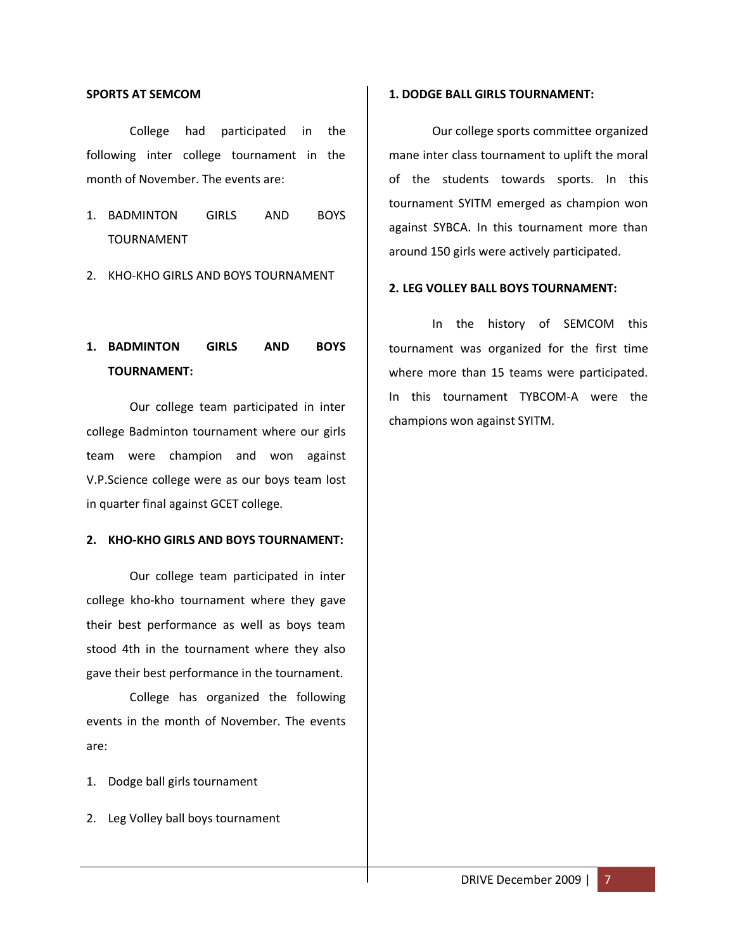#### **SPORTS AT SEMCOM**

College had participated in the following inter college tournament in the month of November. The events are:

- 1. BADMINTON GIRLS AND BOYS TOURNAMENT
- 2. KHO-KHO GIRLS AND BOYS TOURNAMENT

## **1. BADMINTON GIRLS AND BOYS TOURNAMENT:**

Our college team participated in inter college Badminton tournament where our girls team were champion and won against V.P.Science college were as our boys team lost in quarter final against GCET college.

#### **2. KHO-KHO GIRLS AND BOYS TOURNAMENT:**

Our college team participated in inter college kho-kho tournament where they gave their best performance as well as boys team stood 4th in the tournament where they also gave their best performance in the tournament.

College has organized the following events in the month of November. The events are:

- 1. Dodge ball girls tournament
- 2. Leg Volley ball boys tournament

#### **1. DODGE BALL GIRLS TOURNAMENT:**

Our college sports committee organized mane inter class tournament to uplift the moral of the students towards sports. In this tournament SYITM emerged as champion won against SYBCA. In this tournament more than around 150 girls were actively participated.

#### **2. LEG VOLLEY BALL BOYS TOURNAMENT:**

In the history of SEMCOM this tournament was organized for the first time where more than 15 teams were participated. In this tournament TYBCOM-A were the champions won against SYITM.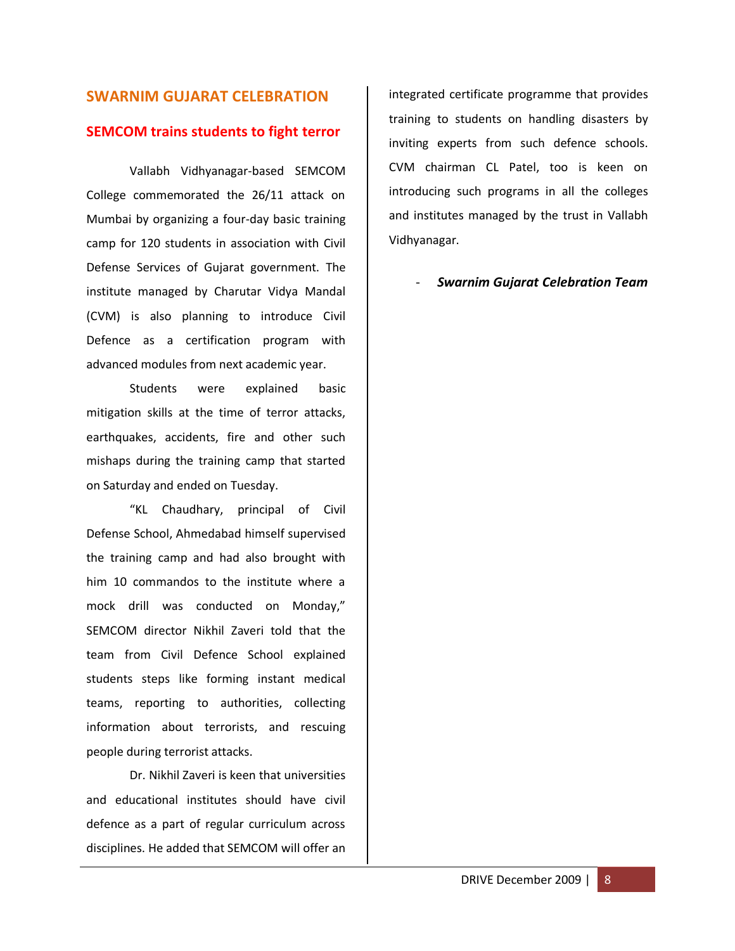## **SWARNIM GUJARAT CELEBRATION**

#### **SEMCOM trains students to fight terror**

Vallabh Vidhyanagar-based SEMCOM College commemorated the 26/11 attack on Mumbai by organizing a four-day basic training camp for 120 students in association with Civil Defense Services of Gujarat government. The institute managed by Charutar Vidya Mandal (CVM) is also planning to introduce Civil Defence as a certification program with advanced modules from next academic year.

Students were explained basic mitigation skills at the time of terror attacks, earthquakes, accidents, fire and other such mishaps during the training camp that started on Saturday and ended on Tuesday.

"KL Chaudhary, principal of Civil Defense School, Ahmedabad himself supervised the training camp and had also brought with him 10 commandos to the institute where a mock drill was conducted on Monday," SEMCOM director Nikhil Zaveri told that the team from Civil Defence School explained students steps like forming instant medical teams, reporting to authorities, collecting information about terrorists, and rescuing people during terrorist attacks.

Dr. Nikhil Zaveri is keen that universities and educational institutes should have civil defence as a part of regular curriculum across disciplines. He added that SEMCOM will offer an

integrated certificate programme that provides training to students on handling disasters by inviting experts from such defence schools. CVM chairman CL Patel, too is keen on introducing such programs in all the colleges and institutes managed by the trust in Vallabh Vidhyanagar.

#### - *Swarnim Gujarat Celebration Team*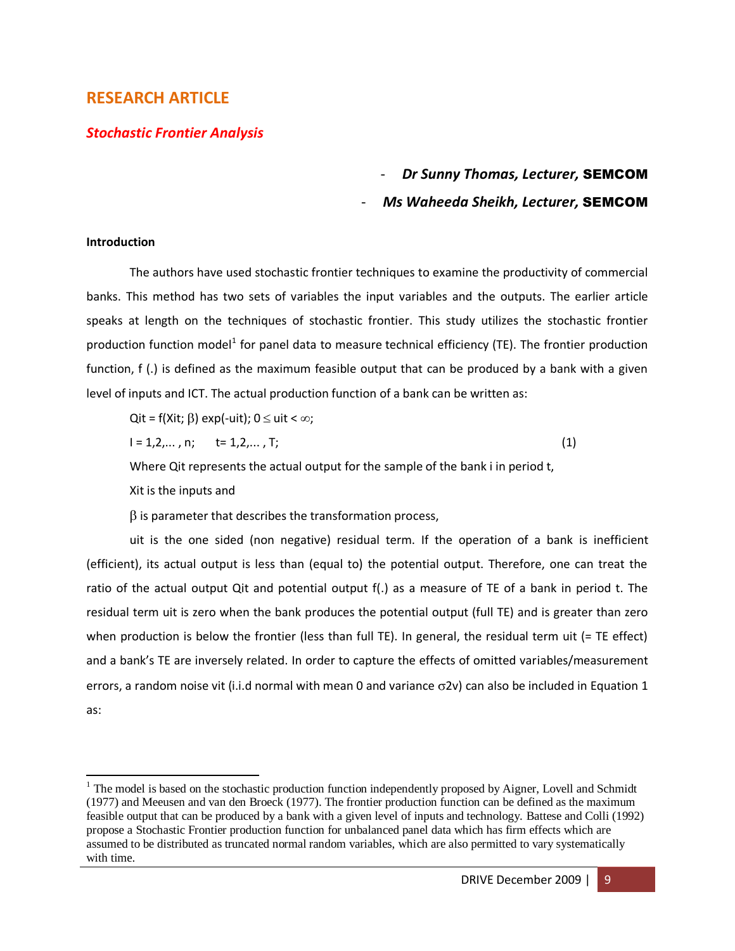### **RESEARCH ARTICLE**

#### *Stochastic Frontier Analysis*

#### - *Dr Sunny Thomas, Lecturer,* SEMCOM

- *Ms Waheeda Sheikh, Lecturer,* SEMCOM

#### **Introduction**

 $\overline{\phantom{a}}$ 

The authors have used stochastic frontier techniques to examine the productivity of commercial banks. This method has two sets of variables the input variables and the outputs. The earlier article speaks at length on the techniques of stochastic frontier. This study utilizes the stochastic frontier production function model<sup>1</sup> for panel data to measure technical efficiency (TE). The frontier production function, f (.) is defined as the maximum feasible output that can be produced by a bank with a given level of inputs and ICT. The actual production function of a bank can be written as:

Qit = f(Xit;  $\beta$ ) exp(-uit); 0  $\leq$  uit <  $\infty$ ;

 $I = 1, 2, ..., n;$  t= 1,2,..., T; (1)

Where Qit represents the actual output for the sample of the bank i in period t,

Xit is the inputs and

 $\beta$  is parameter that describes the transformation process,

uit is the one sided (non negative) residual term. If the operation of a bank is inefficient (efficient), its actual output is less than (equal to) the potential output. Therefore, one can treat the ratio of the actual output Qit and potential output f(.) as a measure of TE of a bank in period t. The residual term uit is zero when the bank produces the potential output (full TE) and is greater than zero when production is below the frontier (less than full TE). In general, the residual term uit (= TE effect) and a bank's TE are inversely related. In order to capture the effects of omitted variables/measurement errors, a random noise vit (i.i.d normal with mean 0 and variance  $\sigma$ 2v) can also be included in Equation 1 as:

 $1$  The model is based on the stochastic production function independently proposed by Aigner, Lovell and Schmidt (1977) and Meeusen and van den Broeck (1977). The frontier production function can be defined as the maximum feasible output that can be produced by a bank with a given level of inputs and technology. Battese and Colli (1992) propose a Stochastic Frontier production function for unbalanced panel data which has firm effects which are assumed to be distributed as truncated normal random variables, which are also permitted to vary systematically with time.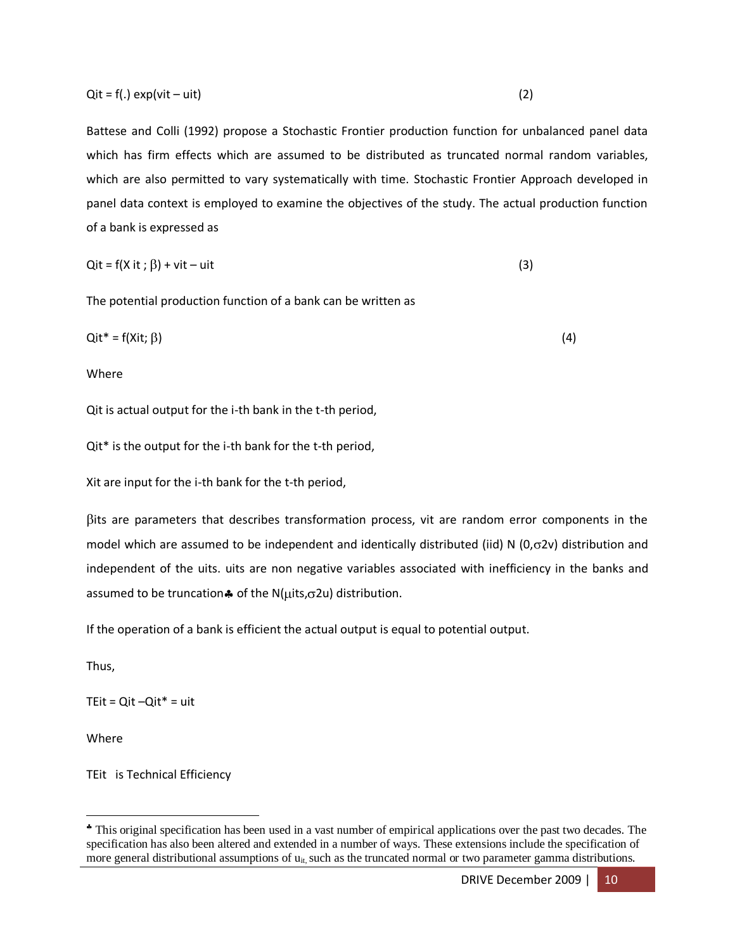Battese and Colli (1992) propose a Stochastic Frontier production function for unbalanced panel data which has firm effects which are assumed to be distributed as truncated normal random variables, which are also permitted to vary systematically with time. Stochastic Frontier Approach developed in panel data context is employed to examine the objectives of the study. The actual production function of a bank is expressed as

$$
Qit = f(X it; \beta) + vit - uit \tag{3}
$$

The potential production function of a bank can be written as

$$
Qit^* = f(Xit; \beta) \tag{4}
$$

Where

Qit is actual output for the i-th bank in the t-th period,

Qit\* is the output for the i-th bank for the t-th period,

Xit are input for the i-th bank for the t-th period,

 $\beta$ its are parameters that describes transformation process, vit are random error components in the model which are assumed to be independent and identically distributed (iid) N (0, $\sigma$ 2v) distribution and independent of the uits. uits are non negative variables associated with inefficiency in the banks and assumed to be truncation. of the N( $\mu$ its, $\sigma$ 2u) distribution.

If the operation of a bank is efficient the actual output is equal to potential output.

Thus,

TEit =  $Qit -Qit^*$  = uit

Where

 $\overline{a}$ 

TEit is Technical Efficiency

This original specification has been used in a vast number of empirical applications over the past two decades. The specification has also been altered and extended in a number of ways. These extensions include the specification of more general distributional assumptions of  $u_{it}$ , such as the truncated normal or two parameter gamma distributions.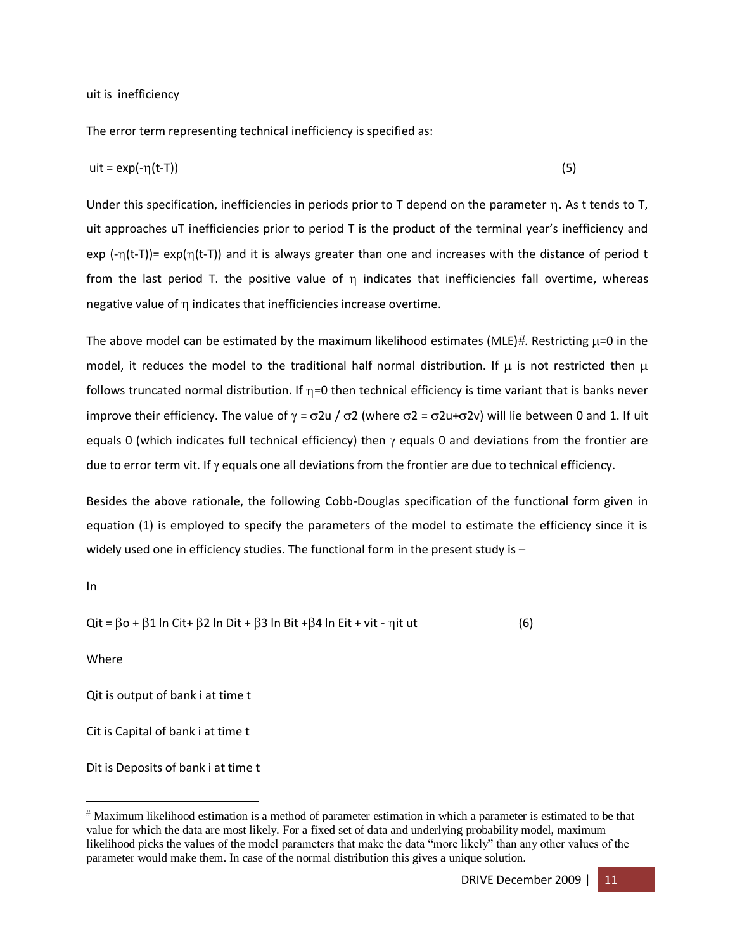uit is inefficiency

The error term representing technical inefficiency is specified as:

$$
uit = exp(-\eta(t-T))
$$
 (5)

Under this specification, inefficiencies in periods prior to T depend on the parameter  $\eta$ . As t tends to T, uit approaches uT inefficiencies prior to period T is the product of the terminal year's inefficiency and exp  $(-\eta(t-T))$  exp( $\eta(t-T)$ ) and it is always greater than one and increases with the distance of period t from the last period T. the positive value of  $\eta$  indicates that inefficiencies fall overtime, whereas negative value of  $\eta$  indicates that inefficiencies increase overtime.

The above model can be estimated by the maximum likelihood estimates (MLE)#. Restricting  $\mu$ =0 in the model, it reduces the model to the traditional half normal distribution. If  $\mu$  is not restricted then  $\mu$ follows truncated normal distribution. If  $\eta$ =0 then technical efficiency is time variant that is banks never improve their efficiency. The value of  $\gamma = \sigma 2u / \sigma 2$  (where  $\sigma 2 = \sigma 2u + \sigma 2v$ ) will lie between 0 and 1. If uit equals 0 (which indicates full technical efficiency) then  $\gamma$  equals 0 and deviations from the frontier are due to error term vit. If  $\gamma$  equals one all deviations from the frontier are due to technical efficiency.

Besides the above rationale, the following Cobb-Douglas specification of the functional form given in equation (1) is employed to specify the parameters of the model to estimate the efficiency since it is widely used one in efficiency studies. The functional form in the present study is -

In

$$
Qit = \beta o + \beta 1 \ln Cit + \beta 2 \ln Dit + \beta 3 \ln Bit + \beta 4 \ln Eit + vit - \eta it ut
$$
 (6)

Where

 $\overline{\phantom{a}}$ 

Qit is output of bank i at time t

Cit is Capital of bank i at time t

Dit is Deposits of bank i at time t

Maximum likelihood estimation is a method of parameter estimation in which a parameter is estimated to be that value for which the data are most likely. For a fixed set of data and underlying probability model, maximum likelihood picks the values of the model parameters that make the data "more likely" than any other values of the parameter would make them. In case of the normal distribution this gives a unique solution.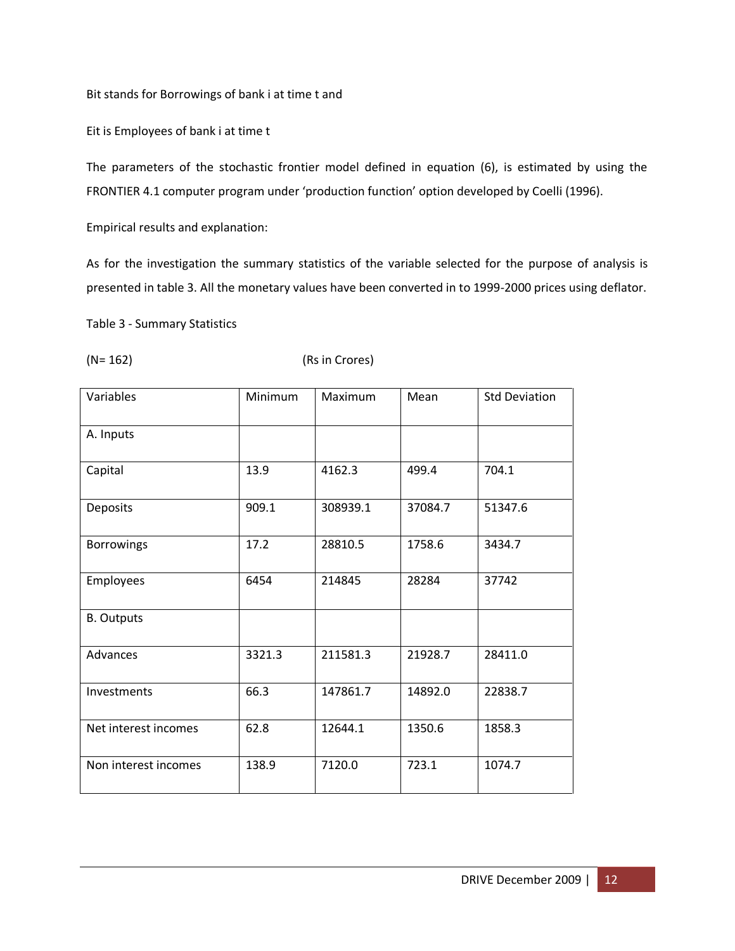Bit stands for Borrowings of bank i at time t and

Eit is Employees of bank i at time t

The parameters of the stochastic frontier model defined in equation (6), is estimated by using the FRONTIER 4.1 computer program under 'production function' option developed by Coelli (1996).

Empirical results and explanation:

As for the investigation the summary statistics of the variable selected for the purpose of analysis is presented in table 3. All the monetary values have been converted in to 1999-2000 prices using deflator.

Table 3 - Summary Statistics

| $(N = 162)$ | (Rs in Crores) |
|-------------|----------------|
|-------------|----------------|

| Variables            | <b>Minimum</b> | <b>Maximum</b> | Mean    | <b>Std Deviation</b> |
|----------------------|----------------|----------------|---------|----------------------|
| A. Inputs            |                |                |         |                      |
| Capital              | 13.9           | 4162.3         | 499.4   | 704.1                |
| <b>Deposits</b>      | 909.1          | 308939.1       | 37084.7 | 51347.6              |
| <b>Borrowings</b>    | 17.2           | 28810.5        | 1758.6  | 3434.7               |
| Employees            | 6454           | 214845         | 28284   | 37742                |
| <b>B.</b> Outputs    |                |                |         |                      |
| Advances             | 3321.3         | 211581.3       | 21928.7 | 28411.0              |
| Investments          | 66.3           | 147861.7       | 14892.0 | 22838.7              |
| Net interest incomes | 62.8           | 12644.1        | 1350.6  | 1858.3               |
| Non interest incomes | 138.9          | 7120.0         | 723.1   | 1074.7               |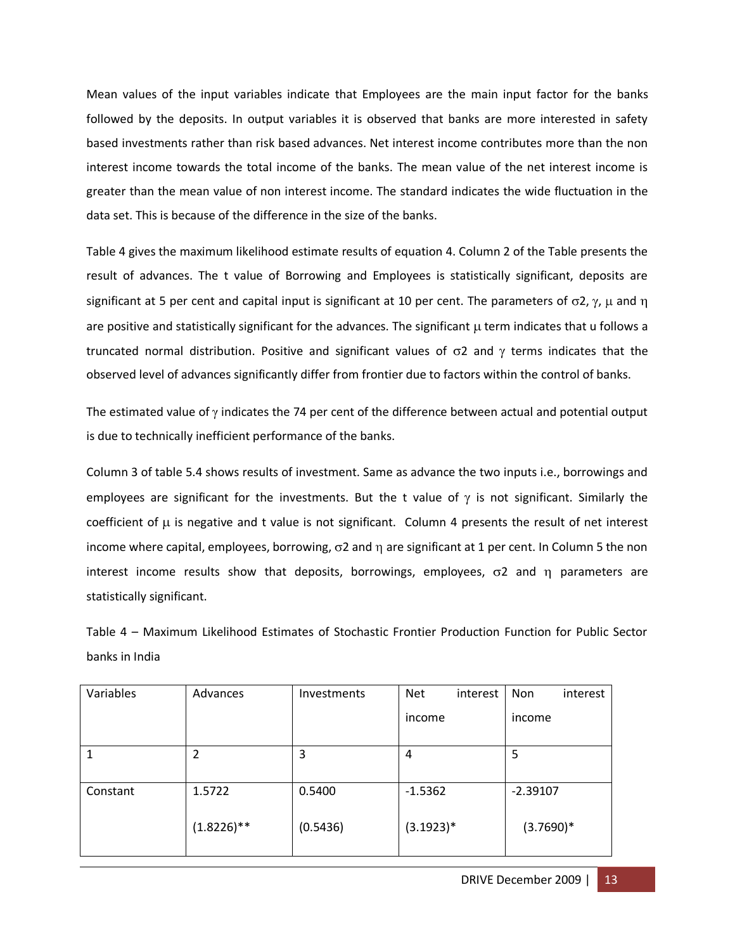Mean values of the input variables indicate that Employees are the main input factor for the banks followed by the deposits. In output variables it is observed that banks are more interested in safety based investments rather than risk based advances. Net interest income contributes more than the non interest income towards the total income of the banks. The mean value of the net interest income is greater than the mean value of non interest income. The standard indicates the wide fluctuation in the data set. This is because of the difference in the size of the banks.

Table 4 gives the maximum likelihood estimate results of equation 4. Column 2 of the Table presents the result of advances. The t value of Borrowing and Employees is statistically significant, deposits are significant at 5 per cent and capital input is significant at 10 per cent. The parameters of  $\sigma$ 2,  $\gamma$ ,  $\mu$  and  $\eta$ are positive and statistically significant for the advances. The significant  $\mu$  term indicates that u follows a truncated normal distribution. Positive and significant values of  $\sigma$ 2 and  $\gamma$  terms indicates that the observed level of advances significantly differ from frontier due to factors within the control of banks.

The estimated value of  $\gamma$  indicates the 74 per cent of the difference between actual and potential output is due to technically inefficient performance of the banks.

Column 3 of table 5.4 shows results of investment. Same as advance the two inputs i.e., borrowings and employees are significant for the investments. But the t value of  $\gamma$  is not significant. Similarly the coefficient of  $\mu$  is negative and t value is not significant. Column 4 presents the result of net interest income where capital, employees, borrowing,  $\sigma$ 2 and  $\eta$  are significant at 1 per cent. In Column 5 the non interest income results show that deposits, borrowings, employees,  $\sigma$ 2 and  $\eta$  parameters are statistically significant.

Table 4 – Maximum Likelihood Estimates of Stochastic Frontier Production Function for Public Sector banks in India

| Variables | Advances      | Investments | <b>Net</b><br>interest | <b>Non</b><br>interest |
|-----------|---------------|-------------|------------------------|------------------------|
|           |               |             | income                 | income                 |
|           | 2             | 3           | 4                      | 5                      |
| Constant  | 1.5722        | 0.5400      | $-1.5362$              | $-2.39107$             |
|           | $(1.8226)$ ** | (0.5436)    | $(3.1923)*$            | $(3.7690)*$            |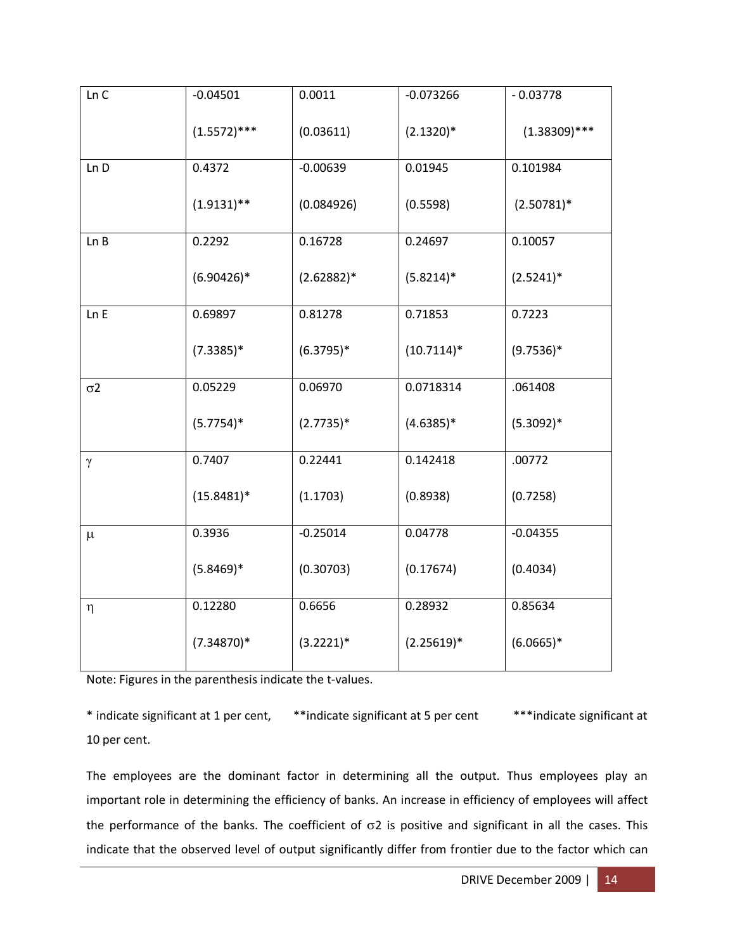| Ln C       | $-0.04501$     | 0.0011       | $-0.073266$  | $-0.03778$      |
|------------|----------------|--------------|--------------|-----------------|
|            | $(1.5572)$ *** | (0.03611)    | $(2.1320)*$  | $(1.38309)$ *** |
| Ln D       | 0.4372         | $-0.00639$   | 0.01945      | 0.101984        |
|            | $(1.9131)$ **  | (0.084926)   | (0.5598)     | $(2.50781)^*$   |
| Ln B       | 0.2292         | 0.16728      | 0.24697      | 0.10057         |
|            | $(6.90426)*$   | $(2.62882)*$ | $(5.8214)*$  | $(2.5241)^*$    |
| Ln E       | 0.69897        | 0.81278      | 0.71853      | 0.7223          |
|            | $(7.3385)*$    | $(6.3795)*$  | $(10.7114)*$ | $(9.7536)^*$    |
| $\sigma$ 2 | 0.05229        | 0.06970      | 0.0718314    | .061408         |
|            | $(5.7754)^*$   | $(2.7735)*$  | $(4.6385)*$  | $(5.3092)*$     |
| $\gamma$   | 0.7407         | 0.22441      | 0.142418     | .00772          |
|            | $(15.8481)^*$  | (1.1703)     | (0.8938)     | (0.7258)        |
| $\mu$      | 0.3936         | $-0.25014$   | 0.04778      | $-0.04355$      |
|            | $(5.8469)*$    | (0.30703)    | (0.17674)    | (0.4034)        |
| $\eta$     | 0.12280        | 0.6656       | 0.28932      | 0.85634         |
|            | $(7.34870)*$   | $(3.2221)^*$ | $(2.25619)*$ | $(6.0665)*$     |

Note: Figures in the parenthesis indicate the t-values.

\* indicate significant at 1 per cent, \*\*indicate significant at 5 per cent \*\*\*indicate significant at 10 per cent.

The employees are the dominant factor in determining all the output. Thus employees play an important role in determining the efficiency of banks. An increase in efficiency of employees will affect the performance of the banks. The coefficient of  $\sigma$ 2 is positive and significant in all the cases. This indicate that the observed level of output significantly differ from frontier due to the factor which can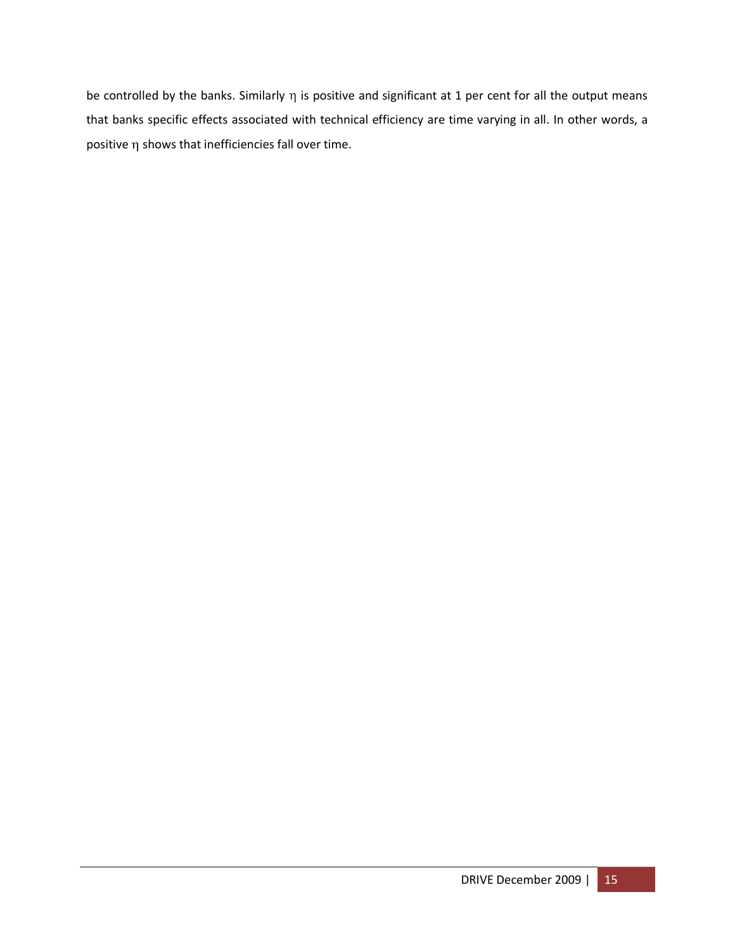be controlled by the banks. Similarly  $\eta$  is positive and significant at 1 per cent for all the output means that banks specific effects associated with technical efficiency are time varying in all. In other words, a positive  $\eta$  shows that inefficiencies fall over time.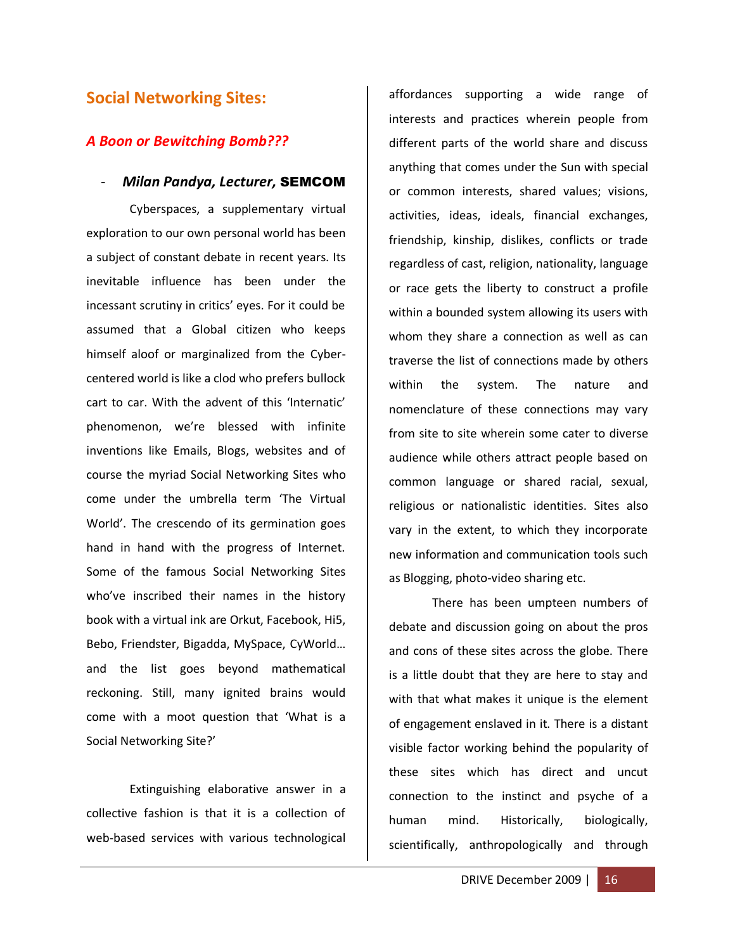## **Social Networking Sites:**

#### *A Boon or Bewitching Bomb???*

#### - *Milan Pandya, Lecturer,* SEMCOM

Cyberspaces, a supplementary virtual exploration to our own personal world has been a subject of constant debate in recent years. Its inevitable influence has been under the incessant scrutiny in critics' eyes. For it could be assumed that a Global citizen who keeps himself aloof or marginalized from the Cybercentered world is like a clod who prefers bullock cart to car. With the advent of this 'Internatic' phenomenon, we're blessed with infinite inventions like Emails, Blogs, websites and of course the myriad Social Networking Sites who come under the umbrella term 'The Virtual World'. The crescendo of its germination goes hand in hand with the progress of Internet. Some of the famous Social Networking Sites who've inscribed their names in the history book with a virtual ink are Orkut, Facebook, Hi5, Bebo, Friendster, Bigadda, MySpace, CyWorld… and the list goes beyond mathematical reckoning. Still, many ignited brains would come with a moot question that 'What is a Social Networking Site?'

Extinguishing elaborative answer in a collective fashion is that it is a collection of web-based services with various technological affordances supporting a wide range of interests and practices wherein people from different parts of the world share and discuss anything that comes under the Sun with special or common interests, shared values; visions, activities, ideas, ideals, financial exchanges, friendship, kinship, dislikes, conflicts or trade regardless of cast, religion, nationality, language or race gets the liberty to construct a profile within a bounded system allowing its users with whom they share a connection as well as can traverse the list of connections made by others within the system. The nature and nomenclature of these connections may vary from site to site wherein some cater to diverse audience while others attract people based on common language or shared racial, sexual, religious or nationalistic identities. Sites also vary in the extent, to which they incorporate new information and communication tools such as Blogging, photo-video sharing etc.

There has been umpteen numbers of debate and discussion going on about the pros and cons of these sites across the globe. There is a little doubt that they are here to stay and with that what makes it unique is the element of engagement enslaved in it. There is a distant visible factor working behind the popularity of these sites which has direct and uncut connection to the instinct and psyche of a human mind. Historically, biologically, scientifically, anthropologically and through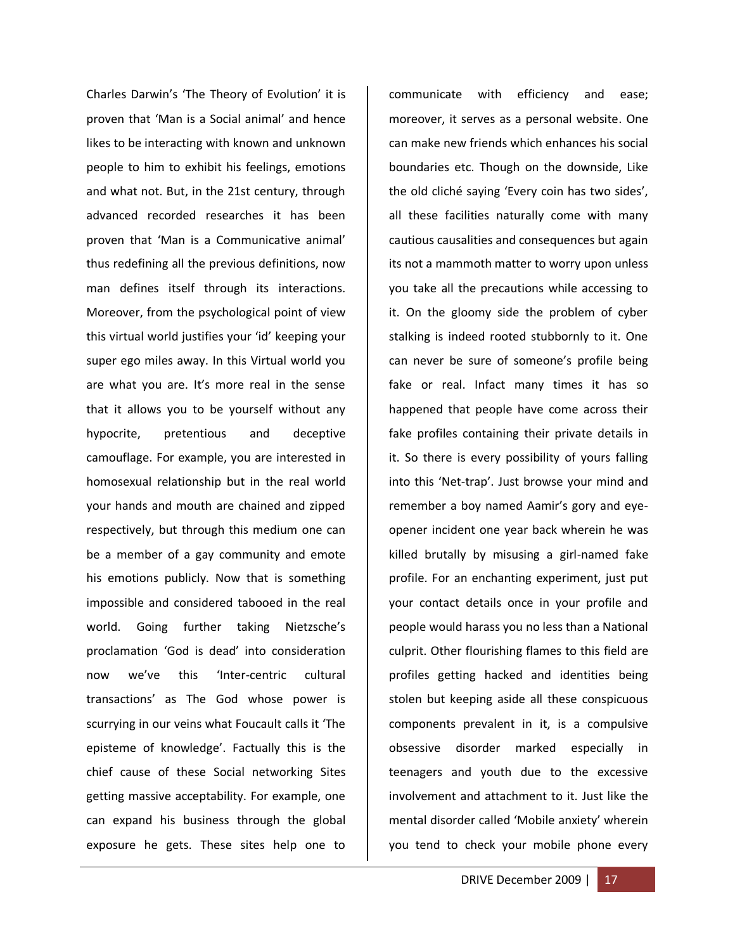Charles Darwin's 'The Theory of Evolution' it is proven that 'Man is a Social animal' and hence likes to be interacting with known and unknown people to him to exhibit his feelings, emotions and what not. But, in the 21st century, through advanced recorded researches it has been proven that 'Man is a Communicative animal' thus redefining all the previous definitions, now man defines itself through its interactions. Moreover, from the psychological point of view this virtual world justifies your 'id' keeping your super ego miles away. In this Virtual world you are what you are. It's more real in the sense that it allows you to be yourself without any hypocrite, pretentious and deceptive camouflage. For example, you are interested in homosexual relationship but in the real world your hands and mouth are chained and zipped respectively, but through this medium one can be a member of a gay community and emote his emotions publicly. Now that is something impossible and considered tabooed in the real world. Going further taking Nietzsche's proclamation 'God is dead' into consideration now we've this 'Inter-centric cultural transactions' as The God whose power is scurrying in our veins what Foucault calls it 'The episteme of knowledge'. Factually this is the chief cause of these Social networking Sites getting massive acceptability. For example, one can expand his business through the global exposure he gets. These sites help one to

communicate with efficiency and ease; moreover, it serves as a personal website. One can make new friends which enhances his social boundaries etc. Though on the downside, Like the old cliché saying 'Every coin has two sides', all these facilities naturally come with many cautious causalities and consequences but again its not a mammoth matter to worry upon unless you take all the precautions while accessing to it. On the gloomy side the problem of cyber stalking is indeed rooted stubbornly to it. One can never be sure of someone's profile being fake or real. Infact many times it has so happened that people have come across their fake profiles containing their private details in it. So there is every possibility of yours falling into this 'Net-trap'. Just browse your mind and remember a boy named Aamir's gory and eyeopener incident one year back wherein he was killed brutally by misusing a girl-named fake profile. For an enchanting experiment, just put your contact details once in your profile and people would harass you no less than a National culprit. Other flourishing flames to this field are profiles getting hacked and identities being stolen but keeping aside all these conspicuous components prevalent in it, is a compulsive obsessive disorder marked especially in teenagers and youth due to the excessive involvement and attachment to it. Just like the mental disorder called 'Mobile anxiety' wherein you tend to check your mobile phone every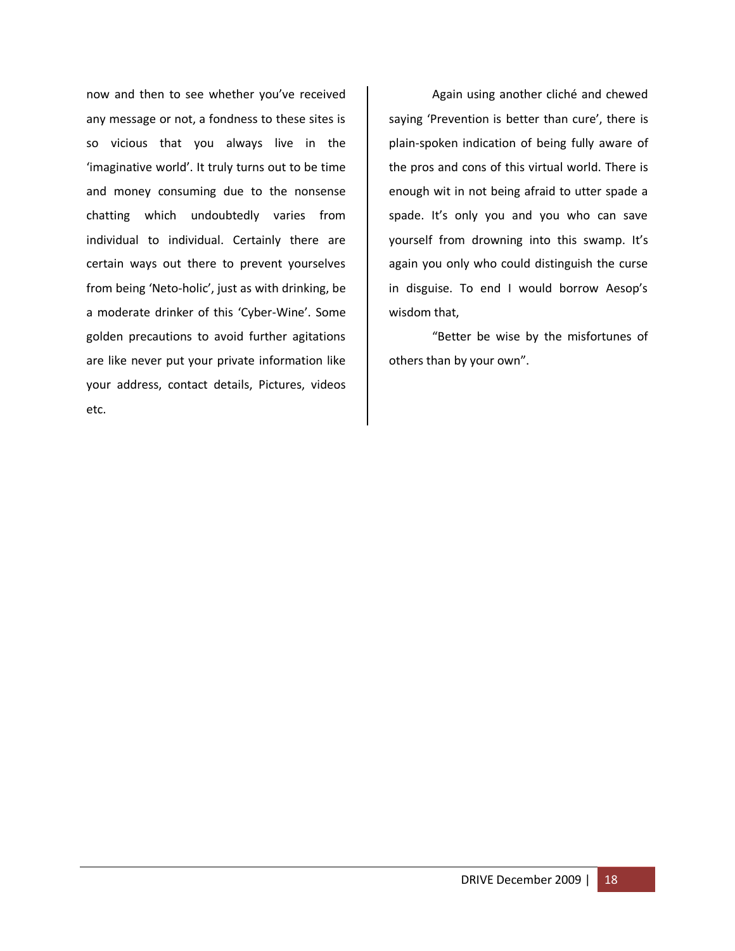now and then to see whether you've received any message or not, a fondness to these sites is so vicious that you always live in the 'imaginative world'. It truly turns out to be time and money consuming due to the nonsense chatting which undoubtedly varies from individual to individual. Certainly there are certain ways out there to prevent yourselves from being 'Neto-holic', just as with drinking, be a moderate drinker of this 'Cyber-Wine'. Some golden precautions to avoid further agitations are like never put your private information like your address, contact details, Pictures, videos etc.

Again using another cliché and chewed saying 'Prevention is better than cure', there is plain-spoken indication of being fully aware of the pros and cons of this virtual world. There is enough wit in not being afraid to utter spade a spade. It's only you and you who can save yourself from drowning into this swamp. It's again you only who could distinguish the curse in disguise. To end I would borrow Aesop's wisdom that,

"Better be wise by the misfortunes of others than by your own".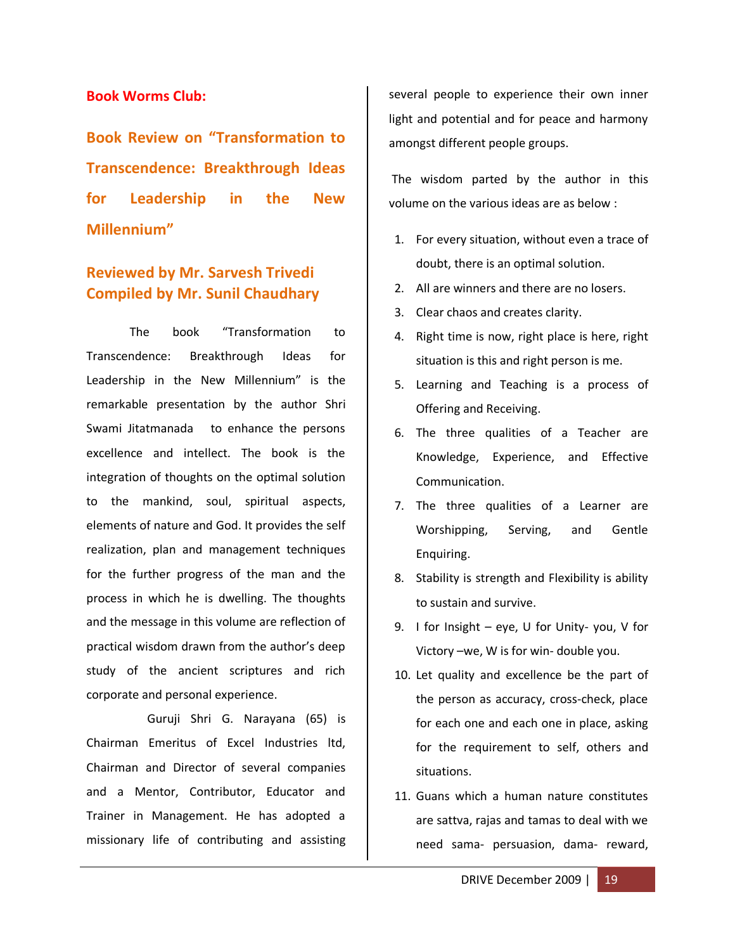#### **Book Worms Club:**

**Book Review on "Transformation to Transcendence: Breakthrough Ideas for Leadership in the New Millennium"**

## **Reviewed by Mr. Sarvesh Trivedi Compiled by Mr. Sunil Chaudhary**

The book "Transformation to Transcendence: Breakthrough Ideas for Leadership in the New Millennium" is the remarkable presentation by the author Shri Swami Jitatmanada to enhance the persons excellence and intellect. The book is the integration of thoughts on the optimal solution to the mankind, soul, spiritual aspects, elements of nature and God. It provides the self realization, plan and management techniques for the further progress of the man and the process in which he is dwelling. The thoughts and the message in this volume are reflection of practical wisdom drawn from the author's deep study of the ancient scriptures and rich corporate and personal experience.

 Guruji Shri G. Narayana (65) is Chairman Emeritus of Excel Industries ltd, Chairman and Director of several companies and a Mentor, Contributor, Educator and Trainer in Management. He has adopted a missionary life of contributing and assisting

several people to experience their own inner light and potential and for peace and harmony amongst different people groups.

The wisdom parted by the author in this volume on the various ideas are as below :

- 1. For every situation, without even a trace of doubt, there is an optimal solution.
- 2. All are winners and there are no losers.
- 3. Clear chaos and creates clarity.
- 4. Right time is now, right place is here, right situation is this and right person is me.
- 5. Learning and Teaching is a process of Offering and Receiving.
- 6. The three qualities of a Teacher are Knowledge, Experience, and Effective Communication.
- 7. The three qualities of a Learner are Worshipping, Serving, and Gentle Enquiring.
- 8. Stability is strength and Flexibility is ability to sustain and survive.
- 9. I for Insight eye, U for Unity- you, V for Victory –we, W is for win- double you.
- 10. Let quality and excellence be the part of the person as accuracy, cross-check, place for each one and each one in place, asking for the requirement to self, others and situations.
- 11. Guans which a human nature constitutes are sattva, rajas and tamas to deal with we need sama- persuasion, dama- reward,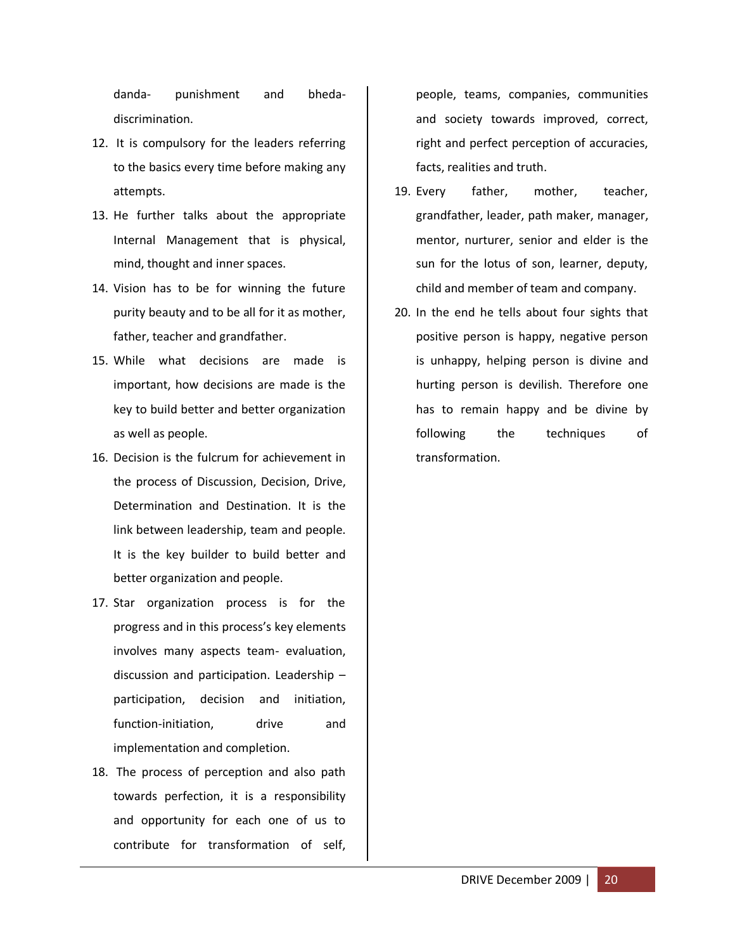danda- punishment and bhedadiscrimination.

- 12. It is compulsory for the leaders referring to the basics every time before making any attempts.
- 13. He further talks about the appropriate Internal Management that is physical, mind, thought and inner spaces.
- 14. Vision has to be for winning the future purity beauty and to be all for it as mother, father, teacher and grandfather.
- 15. While what decisions are made is important, how decisions are made is the key to build better and better organization as well as people.
- 16. Decision is the fulcrum for achievement in the process of Discussion, Decision, Drive, Determination and Destination. It is the link between leadership, team and people. It is the key builder to build better and better organization and people.
- 17. Star organization process is for the progress and in this process's key elements involves many aspects team- evaluation, discussion and participation. Leadership – participation, decision and initiation, function-initiation, drive and implementation and completion.
- 18. The process of perception and also path towards perfection, it is a responsibility and opportunity for each one of us to contribute for transformation of self,

people, teams, companies, communities and society towards improved, correct, right and perfect perception of accuracies, facts, realities and truth.

- 19. Every father, mother, teacher, grandfather, leader, path maker, manager, mentor, nurturer, senior and elder is the sun for the lotus of son, learner, deputy, child and member of team and company.
- 20. In the end he tells about four sights that positive person is happy, negative person is unhappy, helping person is divine and hurting person is devilish. Therefore one has to remain happy and be divine by following the techniques of transformation.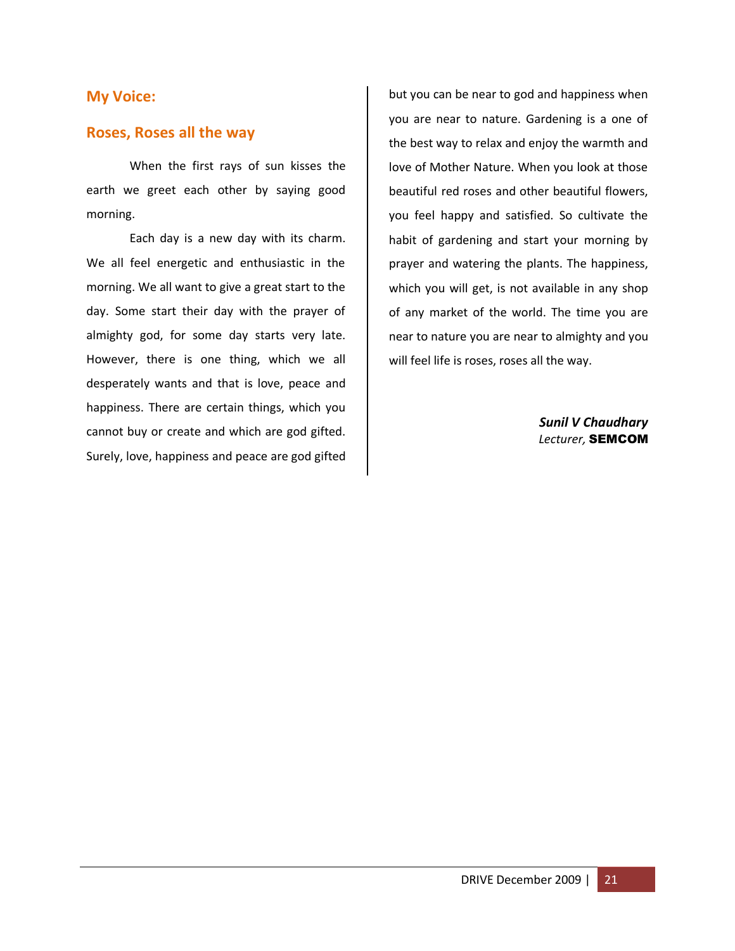#### **My Voice:**

#### **Roses, Roses all the way**

When the first rays of sun kisses the earth we greet each other by saying good morning.

Each day is a new day with its charm. We all feel energetic and enthusiastic in the morning. We all want to give a great start to the day. Some start their day with the prayer of almighty god, for some day starts very late. However, there is one thing, which we all desperately wants and that is love, peace and happiness. There are certain things, which you cannot buy or create and which are god gifted. Surely, love, happiness and peace are god gifted

but you can be near to god and happiness when you are near to nature. Gardening is a one of the best way to relax and enjoy the warmth and love of Mother Nature. When you look at those beautiful red roses and other beautiful flowers, you feel happy and satisfied. So cultivate the habit of gardening and start your morning by prayer and watering the plants. The happiness, which you will get, is not available in any shop of any market of the world. The time you are near to nature you are near to almighty and you will feel life is roses, roses all the way.

> *Sunil V Chaudhary Lecturer,* SEMCOM